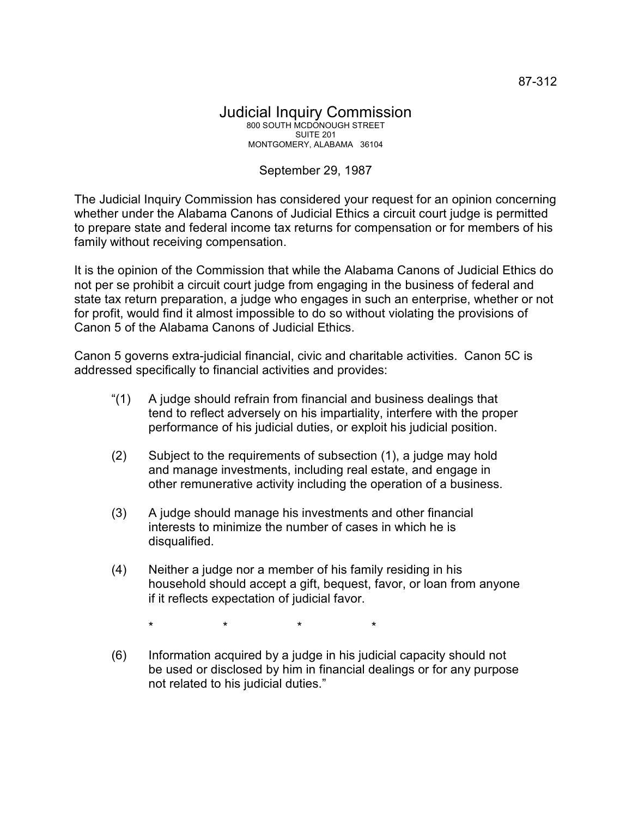## Judicial Inquiry Commission 800 SOUTH MCDONOUGH STREET SUITE 201 MONTGOMERY, ALABAMA 36104

## September 29, 1987

The Judicial Inquiry Commission has considered your request for an opinion concerning whether under the Alabama Canons of Judicial Ethics a circuit court judge is permitted to prepare state and federal income tax returns for compensation or for members of his family without receiving compensation.

It is the opinion of the Commission that while the Alabama Canons of Judicial Ethics do not per se prohibit a circuit court judge from engaging in the business of federal and state tax return preparation, a judge who engages in such an enterprise, whether or not for profit, would find it almost impossible to do so without violating the provisions of Canon 5 of the Alabama Canons of Judicial Ethics.

Canon 5 governs extra-judicial financial, civic and charitable activities. Canon 5C is addressed specifically to financial activities and provides:

- "(1) A judge should refrain from financial and business dealings that tend to reflect adversely on his impartiality, interfere with the proper performance of his judicial duties, or exploit his judicial position.
- (2) Subject to the requirements of subsection (1), a judge may hold and manage investments, including real estate, and engage in other remunerative activity including the operation of a business.
- (3) A judge should manage his investments and other financial interests to minimize the number of cases in which he is disqualified.
- (4) Neither a judge nor a member of his family residing in his household should accept a gift, bequest, favor, or loan from anyone if it reflects expectation of judicial favor.

\* \* \* \*

(6) Information acquired by a judge in his judicial capacity should not be used or disclosed by him in financial dealings or for any purpose not related to his judicial duties."